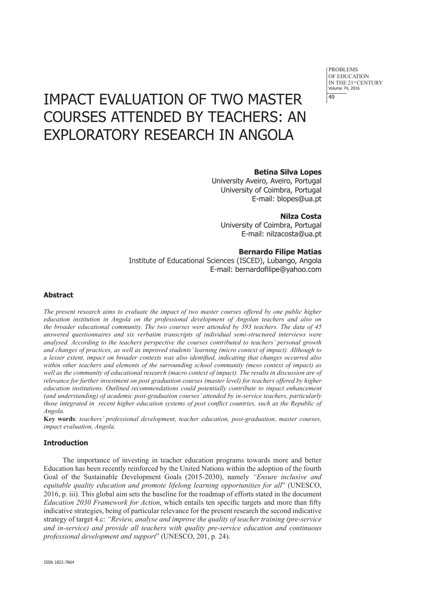PROBLEMS OF EDUCATION IN THE 21st CENTURY Volume 74, 2016 49

# IMPACT EVALUATION OF TWO MASTER COURSES ATTENDED BY TEACHERS: AN EXPLORATORY RESEARCH IN ANGOLA

# **Betina Silva Lopes**

University Aveiro, Aveiro, Portugal University of Coimbra, Portugal E-mail: blopes@ua.pt

# **Nilza Costa**

University of Coimbra, Portugal E-mail: nilzacosta@ua.pt

# **Bernardo Filipe Matias**

Institute of Educational Sciences (ISCED), Lubango, Angola E-mail: bernardofilipe@yahoo.com

## **Abstract**

*The present research aims to evaluate the impact of two master courses offered by one public higher education institution in Angola on the professional development of Angolan teachers and also on the broader educational community. The two courses were attended by 393 teachers. The data of 45 answered questionnaires and six verbatim transcripts of individual semi-structured interviews were analysed. According to the teachers perspective the courses contributed to teachers' personal growth and changes of practices, as well as improved students' learning (micro context of impact). Although to a lesser extent, impact on broader contexts was also identified, indicating that changes occurred also within other teachers and elements of the surrounding school community (meso context of impact) as*  well as the community of educational research (macro context of impact). The results in discussion are of *relevance for further investment on post graduation courses (master level) for teachers offered by higher education institutions. Outlined recommendations could potentially contribute to impact enhancement (and understanding) of academic post-graduation courses' attended by in-service teachers, particularly those integrated in recent higher education systems of post conflict countries, such as the Republic of Angola.* 

**Key words**: *teachers' professional development, teacher education, post-graduation, master courses, impact evaluation, Angola*.

#### **Introduction**

The importance of investing in teacher education programs towards more and better Education has been recently reinforced by the United Nations within the adoption of the fourth Goal of the Sustainable Development Goals (2015-2030), namely *"Ensure inclusive and equitable quality education and promote lifelong learning opportunities for all*" (UNESCO, 2016, p. iii). This global aim sets the baseline for the roadmap of efforts stated in the document *Education 2030 Framework for Action*, which entails ten specific targets and more than fifty indicative strategies, being of particular relevance for the present research the second indicative strategy of target 4.c: *"Review, analyse and improve the quality of teacher training (pre-service and in-service) and provide all teachers with quality pre-service education and continuous professional development and support*" (UNESCO, 201, p. 24).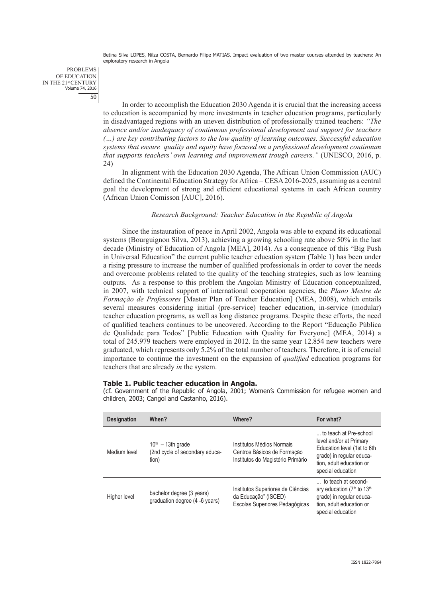PROBLEMS OF EDUCATION IN THE 21<sup>st</sup> CENTURY<br>Volume 74, 2016 50

> In order to accomplish the Education 2030 Agenda it is crucial that the increasing access to education is accompanied by more investments in teacher education programs, particularly in disadvantaged regions with an uneven distribution of professionally trained teachers: *"The absence and/or inadequacy of continuous professional development and support for teachers (…) are key contributing factors to the low quality of learning outcomes. Successful education systems that ensure quality and equity have focused on a professional development continuum that supports teachers' own learning and improvement trough careers."* (UNESCO, 2016, p. 24)

> In alignment with the Education 2030 Agenda, The African Union Commission (AUC) defined the Continental Education Strategy for Africa – CESA 2016-2025, assuming as a central goal the development of strong and efficient educational systems in each African country (African Union Comisson [AUC], 2016).

## *Research Background: Teacher Education in the Republic of Angola*

Since the instauration of peace in April 2002, Angola was able to expand its educational systems (Bourguignon Silva, 2013), achieving a growing schooling rate above 50% in the last decade (Ministry of Education of Angola [MEA], 2014). As a consequence of this "Big Push in Universal Education" the current public teacher education system (Table 1) has been under a rising pressure to increase the number of qualified professionals in order to cover the needs and overcome problems related to the quality of the teaching strategies, such as low learning outputs. As a response to this problem the Angolan Ministry of Education conceptualized, in 2007, with technical support of international cooperation agencies, the *Plano Mestre de Formação de Professores* [Master Plan of Teacher Education] (MEA, 2008), which entails several measures considering initial (pre-service) teacher education, in-service (modular) teacher education programs, as well as long distance programs. Despite these efforts, the need of qualified teachers continues to be uncovered. According to the Report "Educação Pública de Qualidade para Todos" [Public Education with Quality for Everyone] (MEA, 2014) a total of 245.979 teachers were employed in 2012. In the same year 12.854 new teachers were graduated, which represents only 5.2% of the total number of teachers. Therefore, it is of crucial importance to continue the investment on the expansion of *qualified* education programs for teachers that are already *in* the system.

### **Table 1. Public teacher education in Angola.**

(cf. Government of the Republic of Angola, 2001; Women's Commission for refugee women and children, 2003; Cangoi and Castanho, 2016).

| <b>Designation</b> | When?                                                          | Where?                                                                                        | For what?                                                                                                                                                     |
|--------------------|----------------------------------------------------------------|-----------------------------------------------------------------------------------------------|---------------------------------------------------------------------------------------------------------------------------------------------------------------|
| Medium level       | $10th - 13th$ grade<br>(2nd cycle of secondary educa-<br>tion) | Institutos Médios Normais<br>Centros Básicos de Formação<br>Institutos do Magistério Primário | to teach at Pre-school<br>level and/or at Primary<br>Education level (1st to 6th<br>grade) in regular educa-<br>tion, adult education or<br>special education |
| Higher level       | bachelor degree (3 years)<br>graduation degree (4 -6 years)    | Institutos Superiores de Ciências<br>da Educação" (ISCED)<br>Escolas Superiores Pedagógicas   | to teach at second-<br>ary education (7 <sup>th</sup> to 13 <sup>th</sup><br>grade) in regular educa-<br>tion, adult education or<br>special education        |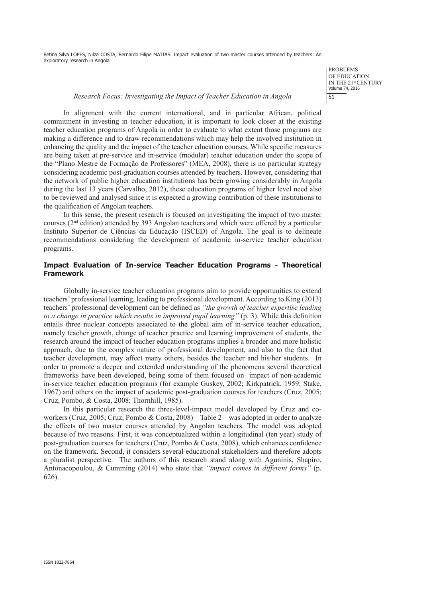> PROBLEMS OF EDUCATION IN THE 21<sup>st</sup> CENTURY Volume 74, 2016 51

#### *Research Focus: Investigating the Impact of Teacher Education in Angola*

In alignment with the current international, and in particular African, political commitment in investing in teacher education, it is important to look closer at the existing teacher education programs of Angola in order to evaluate to what extent those programs are making a difference and to draw recommendations which may help the involved institution in enhancing the quality and the impact of the teacher education courses. While specific measures are being taken at pre-service and in-service (modular) teacher education under the scope of the "Plano Mestre de Formação de Professores" (MEA, 2008), there is no particular strategy considering academic post-graduation courses attended by teachers. However, considering that the network of public higher education institutions has been growing considerably in Angola during the last 13 years (Carvalho, 2012), these education programs of higher level need also to be reviewed and analysed since it is expected a growing contribution of these institutions to the qualification of Angolan teachers.

In this sense, the present research is focused on investigating the impact of two master courses ( $2<sup>nd</sup>$  edition) attended by 393 Angolan teachers and which were offered by a particular Instituto Superior de Ciências da Educação (ISCED) of Angola. The goal is to delineate recommendations considering the development of academic in-service teacher education programs.

## **Impact Evaluation of In-service Teacher Education Programs - Theoretical Framework**

Globally in-service teacher education programs aim to provide opportunities to extend teachers' professional learning, leading to professional development. According to King (2013) teachers' professional development can be defined as *"the growth of teacher expertise leading to a change in practice which results in improved pupil learning"* (p. 3). While this definition entails three nuclear concepts associated to the global aim of in-service teacher education, namely teacher growth, change of teacher practice and learning improvement of students, the research around the impact of teacher education programs implies a broader and more holistic approach, due to the complex nature of professional development, and also to the fact that teacher development, may affect many others, besides the teacher and his/her students. In order to promote a deeper and extended understanding of the phenomena several theoretical frameworks have been developed, being some of them focused on impact of non-academic in-service teacher education programs (for example Guskey, 2002; Kirkpatrick, 1959; Stake, 1967) and others on the impact of academic post-graduation courses for teachers (Cruz, 2005; Cruz, Pombo, & Costa, 2008; Thornhill, 1985).

In this particular research the three-level-impact model developed by Cruz and coworkers (Cruz, 2005; Cruz, Pombo & Costa, 2008) – Table 2 – was adopted in order to analyze the effects of two master courses attended by Angolan teachers. The model was adopted because of two reasons. First, it was conceptualized within a longitudinal (ten year) study of post-graduation courses for teachers (Cruz, Pombo & Costa, 2008), which enhances confidence on the framework. Second, it considers several educational stakeholders and therefore adopts a pluralist perspective. The authors of this research stand along with Aguninis, Shapiro, Antonacopoulou, & Cumming (2014) who state that *"impact comes in different forms"* (p. 626).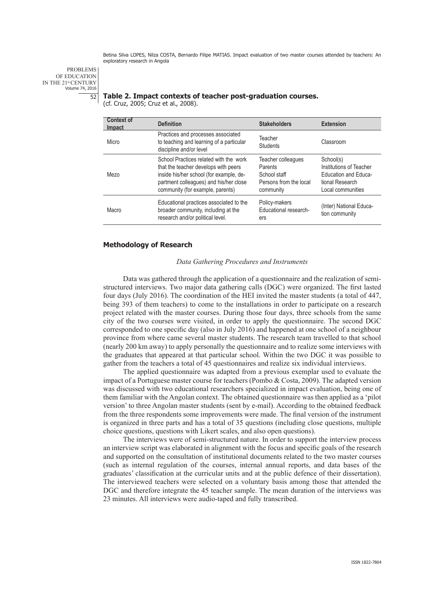PROBLEMS OF EDUCATION IN THE 21<sup>st</sup> CENTURY<br>Volume 74, 2016 52

## **Table 2. Impact contexts of teacher post-graduation courses.**

(cf. Cruz, 2005; Cruz et al., 2008).

| <b>Context of</b><br><b>Impact</b> | <b>Definition</b>                                                                                                                                                                                       | <b>Stakeholders</b>                                                                  | <b>Extension</b>                                                                                            |
|------------------------------------|---------------------------------------------------------------------------------------------------------------------------------------------------------------------------------------------------------|--------------------------------------------------------------------------------------|-------------------------------------------------------------------------------------------------------------|
| Micro                              | Practices and processes associated<br>to teaching and learning of a particular<br>discipline and/or level                                                                                               | Teacher<br><b>Students</b>                                                           | Classroom                                                                                                   |
| Mezo                               | School Practices related with the work<br>that the teacher develops with peers<br>inside his/her school (for example, de-<br>partment colleagues) and his/her close<br>community (for example, parents) | Teacher colleagues<br>Parents<br>School staff<br>Persons from the local<br>community | School(s)<br>Institutions of Teacher<br><b>Education and Educa-</b><br>tional Research<br>Local communities |
| Macro                              | Educational practices associated to the<br>broader community, including at the<br>research and/or political level.                                                                                      | Policy-makers<br>Educational research-<br>ers                                        | (Inter) National Educa-<br>tion community                                                                   |

## **Methodology of Research**

#### *Data Gathering Procedures and Instruments*

Data was gathered through the application of a questionnaire and the realization of semistructured interviews. Two major data gathering calls (DGC) were organized. The first lasted four days (July 2016). The coordination of the HEI invited the master students (a total of 447, being 393 of them teachers) to come to the installations in order to participate on a research project related with the master courses. During those four days, three schools from the same city of the two courses were visited, in order to apply the questionnaire. The second DGC corresponded to one specific day (also in July 2016) and happened at one school of a neighbour province from where came several master students. The research team travelled to that school (nearly 200 km away) to apply personally the questionnaire and to realize some interviews with the graduates that appeared at that particular school. Within the two DGC it was possible to gather from the teachers a total of 45 questionnaires and realize six individual interviews.

The applied questionnaire was adapted from a previous exemplar used to evaluate the impact of a Portuguese master course for teachers (Pombo & Costa, 2009). The adapted version was discussed with two educational researchers specialized in impact evaluation, being one of them familiar with the Angolan context. The obtained questionnaire was then applied as a 'pilot version' to three Angolan master students (sent by e-mail). According to the obtained feedback from the three respondents some improvements were made. The final version of the instrument is organized in three parts and has a total of 35 questions (including close questions, multiple choice questions, questions with Likert scales, and also open questions).

The interviews were of semi-structured nature. In order to support the interview process an interview script was elaborated in alignment with the focus and specific goals of the research and supported on the consultation of institutional documents related to the two master courses (such as internal regulation of the courses, internal annual reports, and data bases of the graduates' classification at the curricular units and at the public defence of their dissertation). The interviewed teachers were selected on a voluntary basis among those that attended the DGC and therefore integrate the 45 teacher sample. The mean duration of the interviews was 23 minutes. All interviews were audio-taped and fully transcribed.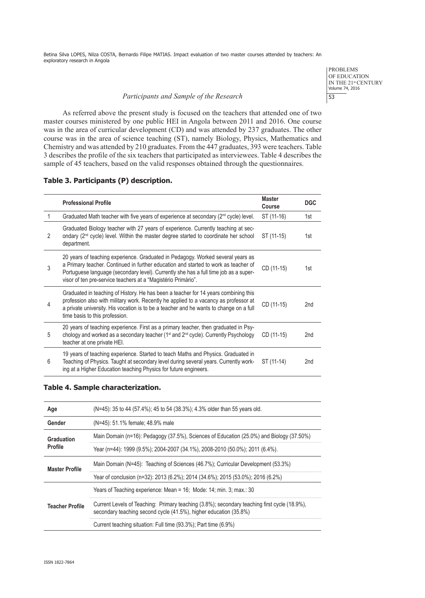## *Participants and Sample of the Research*

PROBLEMS OF EDUCATION IN THE 21st CENTURY<br>Volume 74, 2016 53

As referred above the present study is focused on the teachers that attended one of two master courses ministered by one public HEI in Angola between 2011 and 2016. One course was in the area of curricular development (CD) and was attended by 237 graduates. The other course was in the area of science teaching (ST), namely Biology, Physics, Mathematics and Chemistry and was attended by 210 graduates. From the 447 graduates, 393 were teachers. Table 3 describes the profile of the six teachers that participated as interviewees. Table 4 describes the sample of 45 teachers, based on the valid responses obtained through the questionnaires.

## **Table 3. Participants (P) description.**

|                | <b>Professional Profile</b>                                                                                                                                                                                                                                                                                                     | Master<br><b>Course</b> | <b>DGC</b>      |
|----------------|---------------------------------------------------------------------------------------------------------------------------------------------------------------------------------------------------------------------------------------------------------------------------------------------------------------------------------|-------------------------|-----------------|
| 1              | Graduated Math teacher with five years of experience at secondary (2 <sup>nd</sup> cycle) level.                                                                                                                                                                                                                                | ST (11-16)              | 1st             |
| $\mathfrak{p}$ | Graduated Biology teacher with 27 years of experience. Currently teaching at sec-<br>ondary (2 <sup>nd</sup> cycle) level. Within the master degree started to coordinate her school<br>department.                                                                                                                             | ST (11-15)              | 1st             |
| 3              | 20 years of teaching experience. Graduated in Pedagogy. Worked several years as<br>a Primary teacher. Continued in further education and started to work as teacher of<br>Portuguese language (secondary level). Currently she has a full time job as a super-<br>visor of ten pre-service teachers at a "Magistério Primário". | CD (11-15)              | 1st             |
| 4              | Graduated in teaching of History. He has been a teacher for 14 years combining this<br>profession also with military work. Recently he applied to a vacancy as professor at<br>a private university. His vocation is to be a teacher and he wants to change on a full<br>time basis to this profession.                         | CD (11-15)              | 2 <sub>nd</sub> |
| 5              | 20 years of teaching experience. First as a primary teacher, then graduated in Psy-<br>chology and worked as a secondary teacher (1 <sup>st</sup> and 2 <sup>nd</sup> cycle). Currently Psychology<br>teacher at one private HEI.                                                                                               | CD (11-15)              | 2nd             |
| 6              | 19 years of teaching experience. Started to teach Maths and Physics. Graduated in<br>Teaching of Physics. Taught at secondary level during several years. Currently work-<br>ing at a Higher Education teaching Physics for future engineers.                                                                                   | ST (11-14)              | 2nd             |

#### **Table 4. Sample characterization.**

| Age                          | (N=45): 35 to 44 (57.4%); 45 to 54 (38.3%); 4.3% older than 55 years old.                                                                                         |
|------------------------------|-------------------------------------------------------------------------------------------------------------------------------------------------------------------|
| Gender                       | (N=45): 51.1% female; 48.9% male                                                                                                                                  |
| Graduation<br><b>Profile</b> | Main Domain (n=16): Pedagogy (37.5%), Sciences of Education (25.0%) and Biology (37.50%)                                                                          |
|                              | Year (n=44): 1999 (9.5%); 2004-2007 (34.1%), 2008-2010 (50.0%); 2011 (6.4%).                                                                                      |
| <b>Master Profile</b>        | Main Domain (N=45): Teaching of Sciences (46.7%); Curricular Development (53.3%)                                                                                  |
|                              | Year of conclusion (n=32): 2013 (6.2%); 2014 (34.6%); 2015 (53.0%); 2016 (6.2%)                                                                                   |
| <b>Teacher Profile</b>       | Years of Teaching experience: Mean = 16; Mode: 14; min. 3; max.: 30                                                                                               |
|                              | Current Levels of Teaching: Primary teaching (3.8%); secondary teaching first cycle (18.9%),<br>secondary teaching second cycle (41.5%), higher education (35.8%) |
|                              | Current teaching situation: Full time (93.3%); Part time (6.9%)                                                                                                   |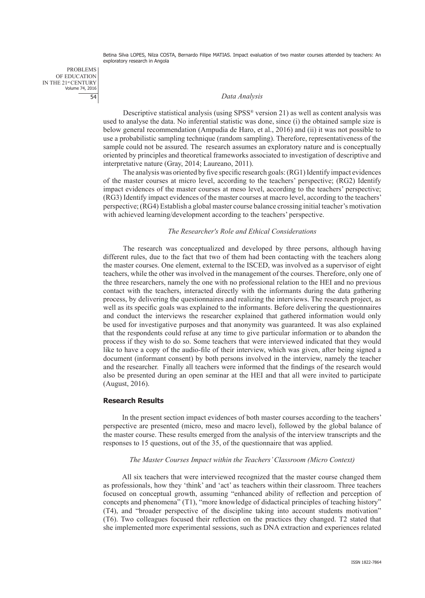PROBLEMS OF EDUCATION IN THE 21<sup>st</sup> CENTURY<br>Volume 74, 2016 54

## *Data Analysis*

Descriptive statistical analysis (using SPSS® version 21) as well as content analysis was used to analyse the data. No inferential statistic was done, since (i) the obtained sample size is below general recommendation (Ampudia de Haro, et al., 2016) and (ii) it was not possible to use a probabilistic sampling technique (random sampling). Therefore, representativeness of the sample could not be assured. The research assumes an exploratory nature and is conceptually oriented by principles and theoretical frameworks associated to investigation of descriptive and interpretative nature (Gray, 2014; Laureano, 2011).

The analysis was oriented by five specific research goals: (RG1) Identify impact evidences of the master courses at micro level, according to the teachers' perspective; (RG2) Identify impact evidences of the master courses at meso level, according to the teachers' perspective; (RG3) Identify impact evidences of the master courses at macro level, according to the teachers' perspective; (RG4) Establish a global master course balance crossing initial teacher's motivation with achieved learning/development according to the teachers' perspective.

### *The Researcher's Role and Ethical Considerations*

The research was conceptualized and developed by three persons, although having different rules, due to the fact that two of them had been contacting with the teachers along the master courses. One element, external to the ISCED, was involved as a supervisor of eight teachers, while the other was involved in the management of the courses. Therefore, only one of the three researchers, namely the one with no professional relation to the HEI and no previous contact with the teachers, interacted directly with the informants during the data gathering process, by delivering the questionnaires and realizing the interviews. The research project, as well as its specific goals was explained to the informants. Before delivering the questionnaires and conduct the interviews the researcher explained that gathered information would only be used for investigative purposes and that anonymity was guaranteed. It was also explained that the respondents could refuse at any time to give particular information or to abandon the process if they wish to do so. Some teachers that were interviewed indicated that they would like to have a copy of the audio-file of their interview, which was given, after being signed a document (informant consent) by both persons involved in the interview, namely the teacher and the researcher. Finally all teachers were informed that the findings of the research would also be presented during an open seminar at the HEI and that all were invited to participate (August, 2016).

#### **Research Results**

In the present section impact evidences of both master courses according to the teachers' perspective are presented (micro, meso and macro level), followed by the global balance of the master course. These results emerged from the analysis of the interview transcripts and the responses to 15 questions, out of the 35, of the questionnaire that was applied.

## *The Master Courses Impact within the Teachers' Classroom (Micro Context)*

All six teachers that were interviewed recognized that the master course changed them as professionals, how they 'think' and 'act' as teachers within their classroom. Three teachers focused on conceptual growth, assuming "enhanced ability of reflection and perception of concepts and phenomena" (T1), "more knowledge of didactical principles of teaching history" (T4), and "broader perspective of the discipline taking into account students motivation" (T6). Two colleagues focused their reflection on the practices they changed. T2 stated that she implemented more experimental sessions, such as DNA extraction and experiences related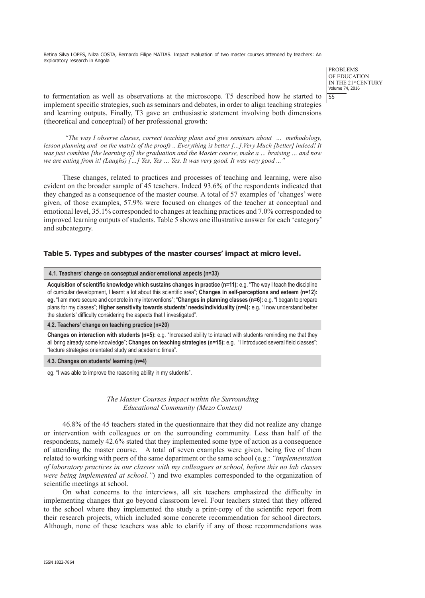> PROBLEMS OF EDUCATION IN THE 21st CENTURY Volume 74, 2016 55

to fermentation as well as observations at the microscope. T5 described how he started to implement specific strategies, such as seminars and debates, in order to align teaching strategies and learning outputs. Finally, T3 gave an enthusiastic statement involving both dimensions (theoretical and conceptual) of her professional growth:

*"The way I observe classes, correct teaching plans and give seminars about … methodology, lesson planning and on the matrix of the proofs .. Everything is better [...].Very Much [better] indeed! It was just combine [the learning of] the graduation and the Master course, make a … braising … and now we are eating from it! (Laughs) […] Yes, Yes … Yes. It was very good. It was very good ..."*

These changes, related to practices and processes of teaching and learning, were also evident on the broader sample of 45 teachers. Indeed 93.6% of the respondents indicated that they changed as a consequence of the master course. A total of 57 examples of 'changes' were given, of those examples, 57.9% were focused on changes of the teacher at conceptual and emotional level, 35.1% corresponded to changes at teaching practices and 7.0% corresponded to improved learning outputs of students. Table 5 shows one illustrative answer for each 'category' and subcategory.

#### **Table 5. Types and subtypes of the master courses' impact at micro level.**

| 4.1. Teachers' change on conceptual and/or emotional aspects (n=33)                                                                                                                                                                                                                                                                                                                                                                                                                                                                                                     |
|-------------------------------------------------------------------------------------------------------------------------------------------------------------------------------------------------------------------------------------------------------------------------------------------------------------------------------------------------------------------------------------------------------------------------------------------------------------------------------------------------------------------------------------------------------------------------|
| Acquisition of scientific knowledge which sustains changes in practice (n=11): e.g. "The way I teach the discipline<br>of curricular development, I learnt a lot about this scientific area"; Changes in self-perceptions and esteem (n=12):<br>eg. "I am more secure and concrete in my interventions"; "Changes in planning classes (n=6): e.g. "I began to prepare<br>plans for my classes": Higher sensitivity towards students' needs/individuality (n=4): e.g. "I now understand better<br>the students' difficulty considering the aspects that I investigated". |
| 4.2. Teachers' change on teaching practice (n=20)                                                                                                                                                                                                                                                                                                                                                                                                                                                                                                                       |
| Changes on interaction with students (n=5): e.g. "Increased ability to interact with students reminding me that they                                                                                                                                                                                                                                                                                                                                                                                                                                                    |

all bring already some knowledge"; **Changes on teaching strategies (n=15):** e.g. "I Introduced several field classes"; "lecture strategies orientated study and academic times".

**4.3. Changes on students' learning (n=4)**

eg. "I was able to improve the reasoning ability in my students".

## *The Master Courses Impact within the Surrounding Educational Community (Mezo Context)*

46.8% of the 45 teachers stated in the questionnaire that they did not realize any change or intervention with colleagues or on the surrounding community. Less than half of the respondents, namely 42.6% stated that they implemented some type of action as a consequence of attending the master course. A total of seven examples were given, being five of them related to working with peers of the same department or the same school (e.g.: *"implementation of laboratory practices in our classes with my colleagues at school, before this no lab classes were being implemented at school."*) and two examples corresponded to the organization of scientific meetings at school.

On what concerns to the interviews, all six teachers emphasized the difficulty in implementing changes that go beyond classroom level. Four teachers stated that they offered to the school where they implemented the study a print-copy of the scientific report from their research projects, which included some concrete recommendation for school directors. Although, none of these teachers was able to clarify if any of those recommendations was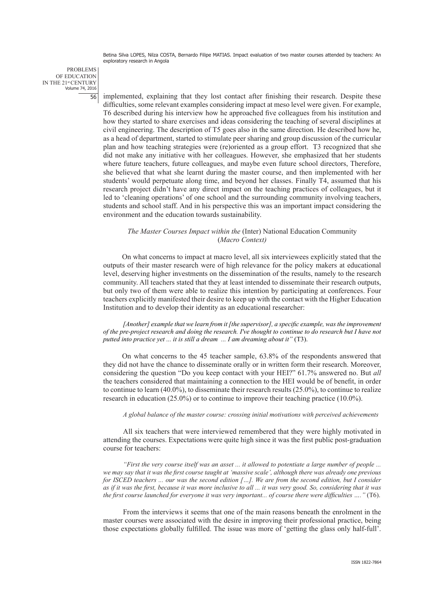PROBLEMS OF EDUCATION IN THE 21<sup>st</sup> CENTURY<br>Volume 74, 2016 56

implemented, explaining that they lost contact after finishing their research. Despite these difficulties, some relevant examples considering impact at meso level were given. For example, T6 described during his interview how he approached five colleagues from his institution and how they started to share exercises and ideas considering the teaching of several disciplines at civil engineering. The description of T5 goes also in the same direction. He described how he, as a head of department, started to stimulate peer sharing and group discussion of the curricular plan and how teaching strategies were (re)oriented as a group effort. T3 recognized that she did not make any initiative with her colleagues. However, she emphasized that her students where future teachers, future colleagues, and maybe even future school directors, Therefore, she believed that what she learnt during the master course, and then implemented with her students' would perpetuate along time, and beyond her classes. Finally T4, assumed that his research project didn't have any direct impact on the teaching practices of colleagues, but it led to 'cleaning operations' of one school and the surrounding community involving teachers, students and school staff. And in his perspective this was an important impact considering the environment and the education towards sustainability.

## *The Master Courses Impact within the* (Inter) National Education Community (*Macro Context)*

On what concerns to impact at macro level, all six interviewees explicitly stated that the outputs of their master research were of high relevance for the policy makers at educational level, deserving higher investments on the dissemination of the results, namely to the research community. All teachers stated that they at least intended to disseminate their research outputs, but only two of them were able to realize this intention by participating at conferences. Four teachers explicitly manifested their desire to keep up with the contact with the Higher Education Institution and to develop their identity as an educational researcher:

*[Another] example that we learn from it [the supervisor], a specific example, was the improvement of the pre-project research and doing the research. I've thought to continue to do research but I have not putted into practice yet ... it is still a dream ... I am dreaming about it"* (T3).

On what concerns to the 45 teacher sample, 63.8% of the respondents answered that they did not have the chance to disseminate orally or in written form their research. Moreover, considering the question "Do you keep contact with your HEI?" 61.7% answered no. But *all*  the teachers considered that maintaining a connection to the HEI would be of benefit, in order to continue to learn  $(40.0\%)$ , to disseminate their research results  $(25.0\%)$ , to continue to realize research in education (25.0%) or to continue to improve their teaching practice (10.0%).

#### *A global balance of the master course: crossing initial motivations with perceived achievements*

All six teachers that were interviewed remembered that they were highly motivated in attending the courses. Expectations were quite high since it was the first public post-graduation course for teachers:

*"First the very course itself was an asset ... it allowed to potentiate a large number of people ... we may say that it was the first course taught at 'massive scale', although there was already one previous for ISCED teachers ... our was the second edition […]. We are from the second edition, but I consider as if it was the first, because it was more inclusive to all ... it was very good. So, considering that it was the first course launched for everyone it was very important... of course there were difficulties …."* (T6).

From the interviews it seems that one of the main reasons beneath the enrolment in the master courses were associated with the desire in improving their professional practice, being those expectations globally fulfilled. The issue was more of 'getting the glass only half-full'.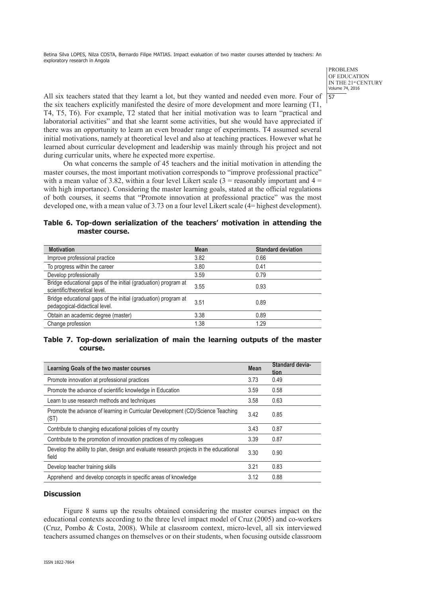> PROBLEMS OF EDUCATION IN THE 21st CENTURY Volume 74, 2016 57

All six teachers stated that they learnt a lot, but they wanted and needed even more. Four of the six teachers explicitly manifested the desire of more development and more learning (T1, T4, T5, T6). For example, T2 stated that her initial motivation was to learn "practical and laboratorial activities" and that she learnt some activities, but she would have appreciated if there was an opportunity to learn an even broader range of experiments. T4 assumed several initial motivations, namely at theoretical level and also at teaching practices. However what he learned about curricular development and leadership was mainly through his project and not during curricular units, where he expected more expertise.

On what concerns the sample of 45 teachers and the initial motivation in attending the master courses, the most important motivation corresponds to "improve professional practice" with a mean value of 3.82, within a four level Likert scale  $(3 =$  reasonably important and  $4 =$ with high importance). Considering the master learning goals, stated at the official regulations of both courses, it seems that "Promote innovation at professional practice" was the most developed one, with a mean value of 3.73 on a four level Likert scale (4= highest development).

**Table 6. Top-down serialization of the teachers' motivation in attending the master course.**

| <b>Motivation</b>                                                                               | <b>Mean</b> | <b>Standard deviation</b> |
|-------------------------------------------------------------------------------------------------|-------------|---------------------------|
| Improve professional practice                                                                   | 3.82        | 0.66                      |
| To progress within the career                                                                   | 3.80        | 0.41                      |
| Develop professionally                                                                          | 3.59        | 0.79                      |
| Bridge educational gaps of the initial (graduation) program at<br>scientific/theoretical level. | 3.55        | 0.93                      |
| Bridge educational gaps of the initial (graduation) program at<br>pedagogical-didactical level. | 3.51        | 0.89                      |
| Obtain an academic degree (master)                                                              | 3.38        | 0.89                      |
| Change profession                                                                               | 1.38        | 1.29                      |

## **Table 7. Top-down serialization of main the learning outputs of the master course.**

| Learning Goals of the two master courses                                                       | <b>Mean</b> | Standard devia-<br>tion |
|------------------------------------------------------------------------------------------------|-------------|-------------------------|
| Promote innovation at professional practices                                                   | 3.73        | 0.49                    |
| Promote the advance of scientific knowledge in Education                                       | 3.59        | 0.58                    |
| Learn to use research methods and techniques                                                   | 3.58        | 0.63                    |
| Promote the advance of learning in Curricular Development (CD)/Science Teaching<br>(ST)        | 3.42        | 0.85                    |
| Contribute to changing educational policies of my country                                      | 3.43        | 0.87                    |
| Contribute to the promotion of innovation practices of my colleagues                           | 3.39        | 0.87                    |
| Develop the ability to plan, design and evaluate research projects in the educational<br>field | 3.30        | 0.90                    |
| Develop teacher training skills                                                                | 3.21        | 0.83                    |
| Apprehend and develop concepts in specific areas of knowledge                                  | 3.12        | 0.88                    |

## **Discussion**

Figure 8 sums up the results obtained considering the master courses impact on the educational contexts according to the three level impact model of Cruz (2005) and co-workers (Cruz, Pombo & Costa, 2008). While at classroom context, micro-level, all six interviewed teachers assumed changes on themselves or on their students, when focusing outside classroom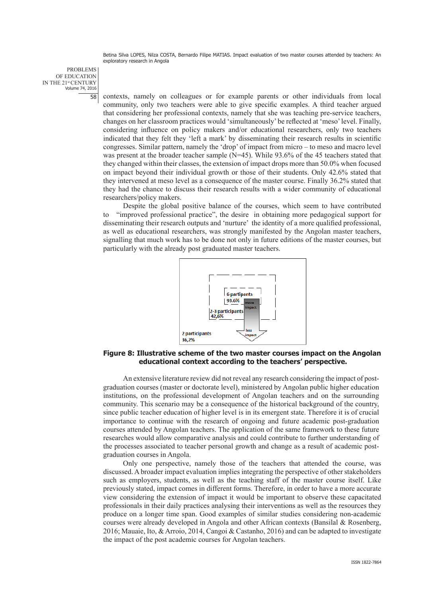PROBLEMS OF EDUCATION IN THE 21<sup>st</sup> CENTURY<br>Volume 74, 2016 58

contexts, namely on colleagues or for example parents or other individuals from local community, only two teachers were able to give specific examples. A third teacher argued that considering her professional contexts, namely that she was teaching pre-service teachers, changes on her classroom practices would 'simultaneously' be reflected at 'meso' level. Finally, considering influence on policy makers and/or educational researchers, only two teachers indicated that they felt they 'left a mark' by disseminating their research results in scientific congresses. Similar pattern, namely the 'drop' of impact from micro – to meso and macro level was present at the broader teacher sample (N=45). While 93.6% of the 45 teachers stated that they changed within their classes, the extension of impact drops more than 50.0% when focused on impact beyond their individual growth or those of their students. Only 42.6% stated that they intervened at meso level as a consequence of the master course. Finally 36.2% stated that they had the chance to discuss their research results with a wider community of educational researchers/policy makers.

Despite the global positive balance of the courses, which seem to have contributed to "improved professional practice", the desire in obtaining more pedagogical support for disseminating their research outputs and 'nurture' the identity of a more qualified professional, as well as educational researchers, was strongly manifested by the Angolan master teachers, signalling that much work has to be done not only in future editions of the master courses, but particularly with the already post graduated master teachers.



## **Figure 8: Illustrative scheme of the two master courses impact on the Angolan educational context according to the teachers' perspective.**

An extensive literature review did not reveal any research considering the impact of postgraduation courses (master or doctorate level), ministered by Angolan public higher education institutions, on the professional development of Angolan teachers and on the surrounding community. This scenario may be a consequence of the historical background of the country, since public teacher education of higher level is in its emergent state. Therefore it is of crucial importance to continue with the research of ongoing and future academic post-graduation courses attended by Angolan teachers. The application of the same framework to these future researches would allow comparative analysis and could contribute to further understanding of the processes associated to teacher personal growth and change as a result of academic postgraduation courses in Angola.

Only one perspective, namely those of the teachers that attended the course, was discussed. A broader impact evaluation implies integrating the perspective of other stakeholders such as employers, students, as well as the teaching staff of the master course itself. Like previously stated, impact comes in different forms. Therefore, in order to have a more accurate view considering the extension of impact it would be important to observe these capacitated professionals in their daily practices analysing their interventions as well as the resources they produce on a longer time span. Good examples of similar studies considering non-academic courses were already developed in Angola and other African contexts (Bansilal & Rosenberg, 2016; Mauaie, Ito, & Arroio, 2014, Cangoi & Castanho, 2016) and can be adapted to investigate the impact of the post academic courses for Angolan teachers.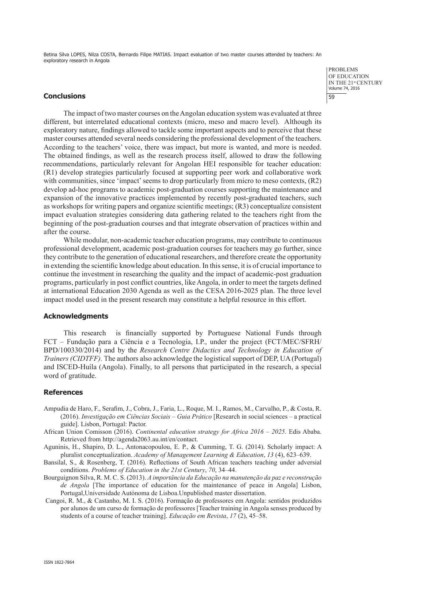#### **Conclusions**

The impact of two master courses on the Angolan education system was evaluated at three different, but interrelated educational contexts (micro, meso and macro level). Although its exploratory nature, findings allowed to tackle some important aspects and to perceive that these master courses attended several needs considering the professional development of the teachers. According to the teachers' voice, there was impact, but more is wanted, and more is needed. The obtained findings, as well as the research process itself, allowed to draw the following recommendations, particularly relevant for Angolan HEI responsible for teacher education: (R1) develop strategies particularly focused at supporting peer work and collaborative work with communities, since 'impact' seems to drop particularly from micro to meso contexts,  $(R2)$ develop ad-hoc programs to academic post-graduation courses supporting the maintenance and expansion of the innovative practices implemented by recently post-graduated teachers, such as workshops for writing papers and organize scientific meetings; (R3) conceptualize consistent impact evaluation strategies considering data gathering related to the teachers right from the beginning of the post-graduation courses and that integrate observation of practices within and after the course.

While modular, non-academic teacher education programs, may contribute to continuous professional development, academic post-graduation courses for teachers may go further, since they contribute to the generation of educational researchers, and therefore create the opportunity in extending the scientific knowledge about education. In this sense, it is of crucial importance to continue the investment in researching the quality and the impact of academic-post graduation programs, particularly in post conflict countries, like Angola, in order to meet the targets defined at international Education 2030 Agenda as well as the CESA 2016-2025 plan. The three level impact model used in the present research may constitute a helpful resource in this effort.

#### **Acknowledgments**

This research is financially supported by Portuguese National Funds through FCT – Fundação para a Ciência e a Tecnologia, I.P., under the project (FCT/MEC/SFRH/ BPD/100330/2014) and by the *Research Centre Didactics and Technology in Education of Trainers (CIDTFF).* The authors also acknowledge the logistical support of DEP, UA (Portugal) and ISCED-Huíla (Angola). Finally, to all persons that participated in the research, a special word of gratitude.

#### **References**

- Ampudia de Haro, F., Serafim, J., Cobra, J., Faria, L., Roque, M. I., Ramos, M., Carvalho, P., & Costa, R. (2016). *Investigação em Ciências Sociais – Guia Prático* [Research in social sciences – a practical guide]. Lisbon, Portugal: Pactor.
- African Union Comisson (2016). *Continental education strategy for Africa 2016 2025*. Edis Ababa. Retrieved from http://agenda2063.au.int/en/contact.
- Aguninis, H., Shapiro, D. L., Antonacopoulou, E. P., & Cumming, T. G. (2014). Scholarly impact: A pluralist conceptualization. *Academy of Management Learning & Education*, *13* (4), 623–639.
- Bansilal, S., & Rosenberg, T. (2016). Reflections of South African teachers teaching under adversial conditions. *Problems of Education in the 21st Century*, *70*, 34–44.
- Bourguignon Silva, R. M. C. S. (2013). *A importância da Educação na manutenção da paz e reconstrução de Angola* [The importance of education for the maintenance of peace in Angola] Lisbon, Portugal,Universidade Autónoma de Lisboa.Unpublished master dissertation.
- Cangoi, R. M., & Castanho, M. I. S. (2016). Formação de professores em Angola: sentidos produzidos por alunos de um curso de formação de professores [Teacher training in Angola senses produced by students of a course of teacher training]. *Educação em Revista*, *17* (2), 45–58.

PROBLEMS OF EDUCATION IN THE 21st CENTURY Volume 74, 2016 59